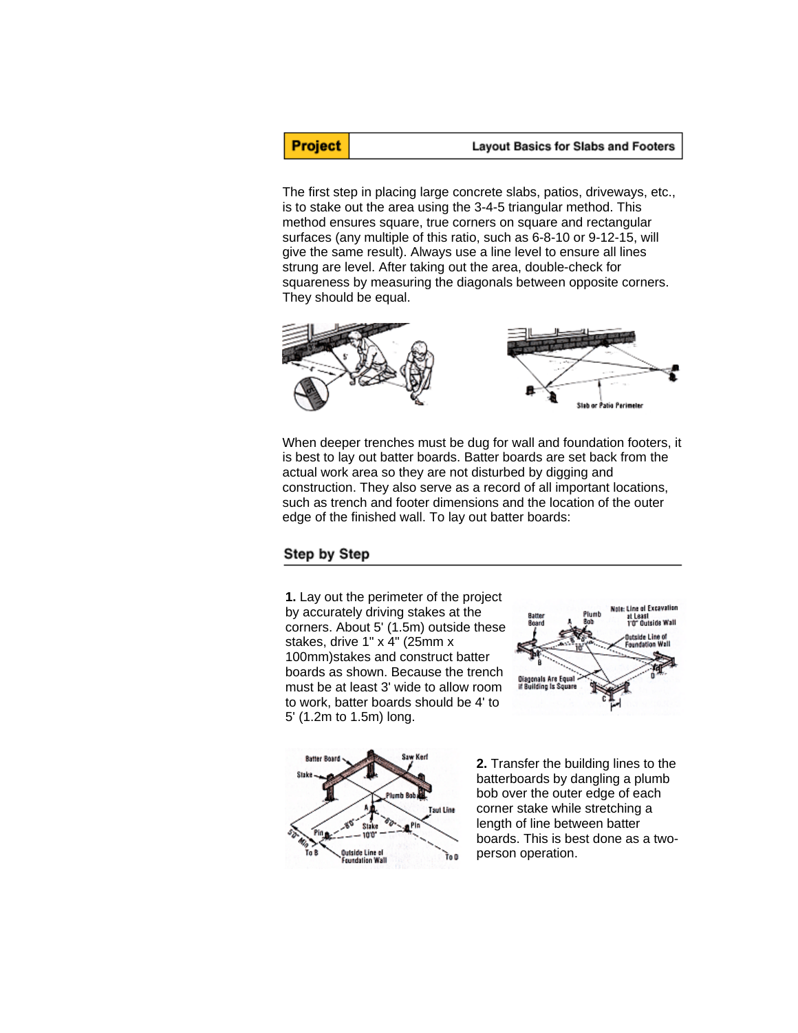**Project** 

The first step in placing large concrete slabs, patios, driveways, etc., is to stake out the area using the 3-4-5 triangular method. This method ensures square, true corners on square and rectangular surfaces (any multiple of this ratio, such as 6-8-10 or 9-12-15, will give the same result). Always use a line level to ensure all lines strung are level. After taking out the area, double-check for squareness by measuring the diagonals between opposite corners. They should be equal.



When deeper trenches must be dug for wall and foundation footers, it is best to lay out batter boards. Batter boards are set back from the actual work area so they are not disturbed by digging and construction. They also serve as a record of all important locations, such as trench and footer dimensions and the location of the outer edge of the finished wall. To lay out batter boards:

## Step by Step

**1.** Lay out the perimeter of the project by accurately driving stakes at the corners. About 5' (1.5m) outside these stakes, drive 1" x 4" (25mm x 100mm)stakes and construct batter boards as shown. Because the trench must be at least 3' wide to allow room to work, batter boards should be 4' to 5' (1.2m to 1.5m) long.





**2.** Transfer the building lines to the batterboards by dangling a plumb bob over the outer edge of each corner stake while stretching a length of line between batter boards. This is best done as a twoperson operation.